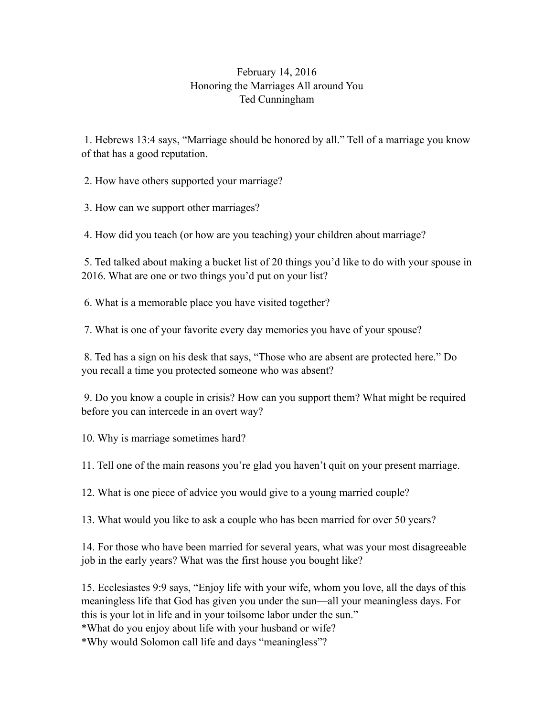## February 14, 2016 Honoring the Marriages All around You Ted Cunningham

 1. Hebrews 13:4 says, "Marriage should be honored by all." Tell of a marriage you know of that has a good reputation.

2. How have others supported your marriage?

3. How can we support other marriages?

4. How did you teach (or how are you teaching) your children about marriage?

 5. Ted talked about making a bucket list of 20 things you'd like to do with your spouse in 2016. What are one or two things you'd put on your list?

6. What is a memorable place you have visited together?

7. What is one of your favorite every day memories you have of your spouse?

 8. Ted has a sign on his desk that says, "Those who are absent are protected here." Do you recall a time you protected someone who was absent?

 9. Do you know a couple in crisis? How can you support them? What might be required before you can intercede in an overt way?

10. Why is marriage sometimes hard?

11. Tell one of the main reasons you're glad you haven't quit on your present marriage.

12. What is one piece of advice you would give to a young married couple?

13. What would you like to ask a couple who has been married for over 50 years?

14. For those who have been married for several years, what was your most disagreeable job in the early years? What was the first house you bought like?

15. Ecclesiastes 9:9 says, "Enjoy life with your wife, whom you love, all the days of this meaningless life that God has given you under the sun—all your meaningless days. For this is your lot in life and in your toilsome labor under the sun."

\*What do you enjoy about life with your husband or wife?

\*Why would Solomon call life and days "meaningless"?